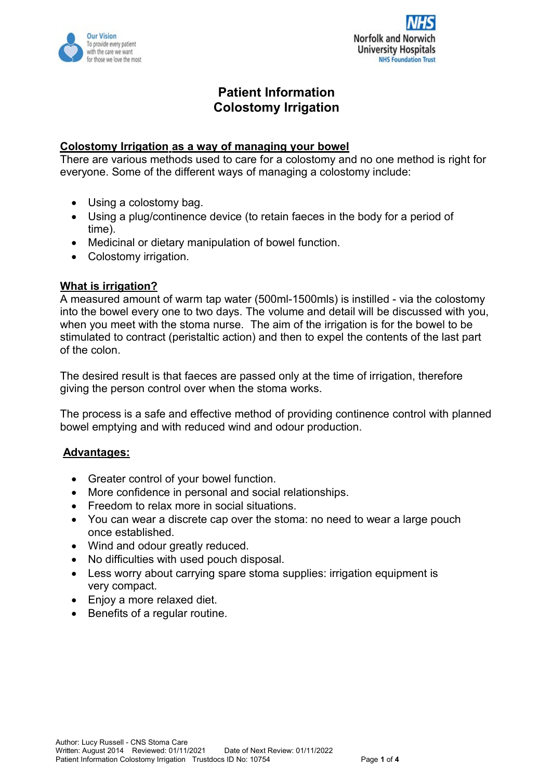



# **Patient Information Colostomy Irrigation**

### **Colostomy Irrigation as a way of managing your bowel**

There are various methods used to care for a colostomy and no one method is right for everyone. Some of the different ways of managing a colostomy include:

- Using a colostomy bag.
- Using a plug/continence device (to retain faeces in the body for a period of time).
- Medicinal or dietary manipulation of bowel function.
- Colostomy irrigation.

### **What is irrigation?**

A measured amount of warm tap water (500ml-1500mls) is instilled - via the colostomy into the bowel every one to two days. The volume and detail will be discussed with you, when you meet with the stoma nurse. The aim of the irrigation is for the bowel to be stimulated to contract (peristaltic action) and then to expel the contents of the last part of the colon.

The desired result is that faeces are passed only at the time of irrigation, therefore giving the person control over when the stoma works.

The process is a safe and effective method of providing continence control with planned bowel emptying and with reduced wind and odour production.

### Advantages:

- Greater control of your bowel function.
- More confidence in personal and social relationships.
- Freedom to relax more in social situations.
- You can wear a discrete cap over the stoma: no need to wear a large pouch once established.
- Wind and odour greatly reduced.
- No difficulties with used pouch disposal.
- Less worry about carrying spare stoma supplies: irrigation equipment is very compact.
- Enjoy a more relaxed diet.
- Benefits of a regular routine.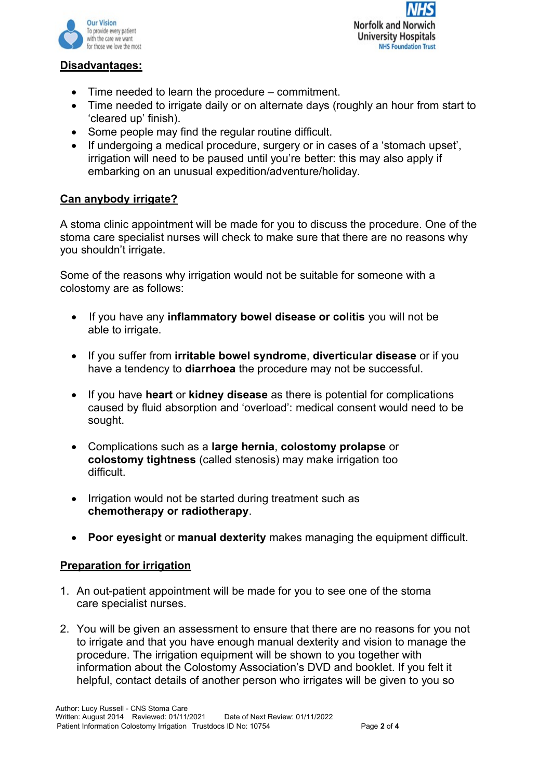



### **Disadvantages:**

- Time needed to learn the procedure commitment.
- Time needed to irrigate daily or on alternate days (roughly an hour from start to 'cleared up' finish).
- Some people may find the regular routine difficult.
- If undergoing a medical procedure, surgery or in cases of a 'stomach upset', irrigation will need to be paused until you're better: this may also apply if embarking on an unusual expedition/adventure/holiday.

# **Can anybody irrigate?**

A stoma clinic appointment will be made for you to discuss the procedure. One of the stoma care specialist nurses will check to make sure that there are no reasons why you shouldn't irrigate.

Some of the reasons why irrigation would not be suitable for someone with a colostomy are as follows:

- If you have any **inflammatory bowel disease or colitis** you will not be able to irrigate.
- If you suffer from **irritable bowel syndrome**, **diverticular disease** or if you have a tendency to **diarrhoea** the procedure may not be successful.
- If you have **heart** or **kidney disease** as there is potential for complications caused by fluid absorption and 'overload': medical consent would need to be sought.
- Complications such as a **large hernia**, **colostomy prolapse** or **colostomy tightness** (called stenosis) may make irrigation too difficult.
- Irrigation would not be started during treatment such as **chemotherapy or radiotherapy**.
- **Poor eyesight** or **manual dexterity** makes managing the equipment difficult.

# **Preparation for irrigation**

- 1. An out-patient appointment will be made for you to see one of the stoma care specialist nurses.
- 2. You will be given an assessment to ensure that there are no reasons for you not to irrigate and that you have enough manual dexterity and vision to manage the procedure. The irrigation equipment will be shown to you together with information about the Colostomy Association's DVD and booklet. If you felt it helpful, contact details of another person who irrigates will be given to you so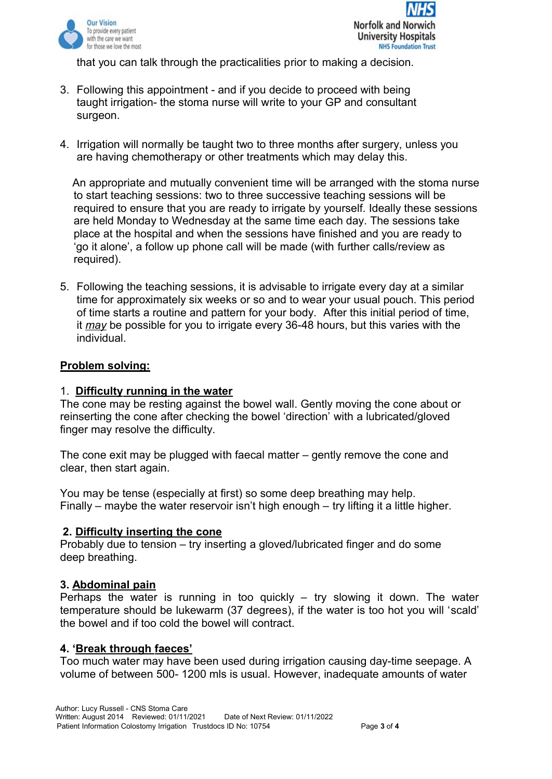

that you can talk through the practicalities prior to making a decision.

- 3. Following this appointment and if you decide to proceed with being taught irrigation- the stoma nurse will write to your GP and consultant surgeon.
- 4. Irrigation will normally be taught two to three months after surgery, unless you are having chemotherapy or other treatments which may delay this.

An appropriate and mutually convenient time will be arranged with the stoma nurse to start teaching sessions: two to three successive teaching sessions will be required to ensure that you are ready to irrigate by yourself. Ideally these sessions are held Monday to Wednesday at the same time each day. The sessions take place at the hospital and when the sessions have finished and you are ready to 'go it alone', a follow up phone call will be made (with further calls/review as required).

5. Following the teaching sessions, it is advisable to irrigate every day at a similar time for approximately six weeks or so and to wear your usual pouch. This period of time starts a routine and pattern for your body. After this initial period of time, it *m a y* be possible for you to irrigate every 36-48 hours, but this varies with the individual.

### **Problem solving:**

### 1. **Difficulty running in the water**

The cone may be resting against the bowel wall. Gently moving the cone about or reinserting the cone after checking the bowel 'direction' with a lubricated/gloved finger may resolve the difficulty.

The cone exit may be plugged with faecal matter – gently remove the cone and clear, then start again.

You may be tense (especially at first) so some deep breathing may help. Finally – maybe the water reservoir isn't high enough – try lifting it a little higher.

#### **2. Difficulty inserting the cone**

Probably due to tension – try inserting a gloved/lubricated finger and do some deep breathing.

#### **3. Abdominal pain**

Perhaps the water is running in too quickly  $-$  try slowing it down. The water temperature should be lukewarm (37 degrees), if the water is too hot you will 'scald' the bowel and if too cold the bowel will contract.

#### **4. ' Break through faeces'**

Too much water may have been used during irrigation causing day-time seepage. A volume of between 500- 1200 mls is usual. However, inadequate amounts of water